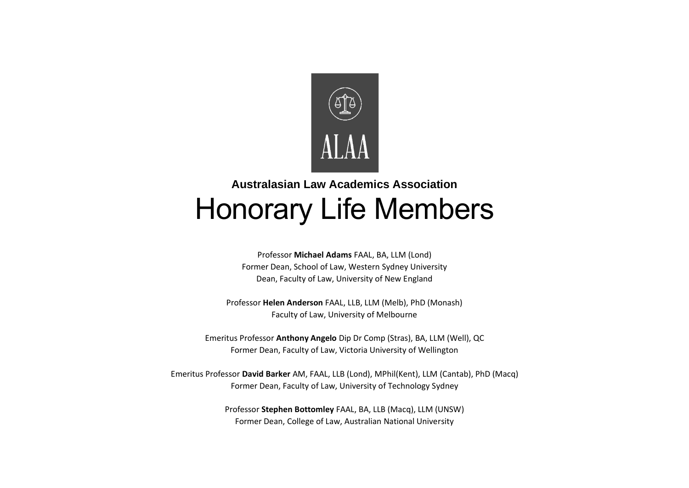

## **Australasian Law Academics Association** Honorary Life Members

Professor **Michael Adams** FAAL, BA, LLM (Lond) Former Dean, School of Law, Western Sydney University Dean, Faculty of Law, University of New England

Professor **Helen Anderson** FAAL, LLB, LLM (Melb), PhD (Monash) Faculty of Law, University of Melbourne

Emeritus Professor **Anthony Angelo** Dip Dr Comp (Stras), BA, LLM (Well), QC Former Dean, Faculty of Law, Victoria University of Wellington

Emeritus Professor **David Barker** AM, FAAL, LLB (Lond), MPhil(Kent), LLM (Cantab), PhD (Macq) Former Dean, Faculty of Law, University of Technology Sydney

> Professor **Stephen Bottomley** FAAL, BA, LLB (Macq), LLM (UNSW) Former Dean, College of Law, Australian National University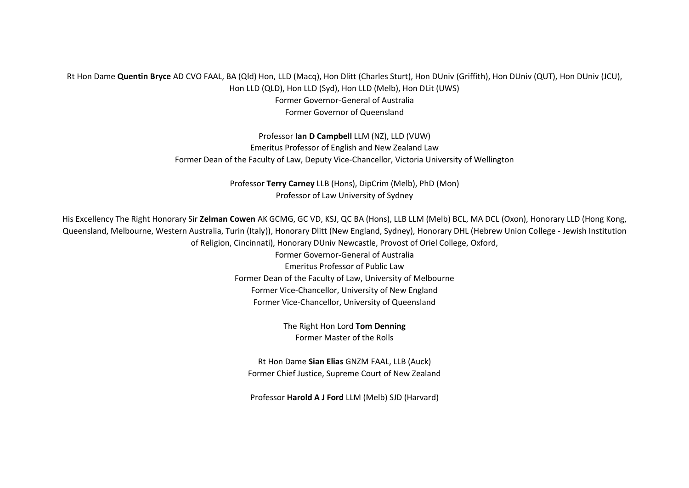## Rt Hon Dame **Quentin Bryce** AD CVO FAAL, BA (Qld) Hon, LLD (Macq), Hon Dlitt (Charles Sturt), Hon DUniv (Griffith), Hon DUniv (QUT), Hon DUniv (JCU), Hon LLD (QLD), Hon LLD (Syd), Hon LLD (Melb), Hon DLit (UWS) Former Governor-General of Australia Former Governor of Queensland

Professor **Ian D Campbell** LLM (NZ), LLD (VUW) Emeritus Professor of English and New Zealand Law Former Dean of the Faculty of Law, Deputy Vice-Chancellor, Victoria University of Wellington

> Professor **Terry Carney** LLB (Hons), DipCrim (Melb), PhD (Mon) Professor of Law University of Sydney

His Excellency The Right Honorary Sir **Zelman Cowen** AK GCMG, GC VD, KSJ, QC BA (Hons), LLB LLM (Melb) BCL, MA DCL (Oxon), Honorary LLD (Hong Kong, Queensland, Melbourne, Western Australia, Turin (Italy)), Honorary Dlitt (New England, Sydney), Honorary DHL (Hebrew Union College - Jewish Institution of Religion, Cincinnati), Honorary DUniv Newcastle, Provost of Oriel College, Oxford,

> Former Governor-General of Australia Emeritus Professor of Public Law Former Dean of the Faculty of Law, University of Melbourne Former Vice-Chancellor, University of New England Former Vice-Chancellor, University of Queensland

> > The Right Hon Lord **Tom Denning** Former Master of the Rolls

Rt Hon Dame **Sian Elias** GNZM FAAL, LLB (Auck) Former Chief Justice, Supreme Court of New Zealand

Professor **Harold A J Ford** LLM (Melb) SJD (Harvard)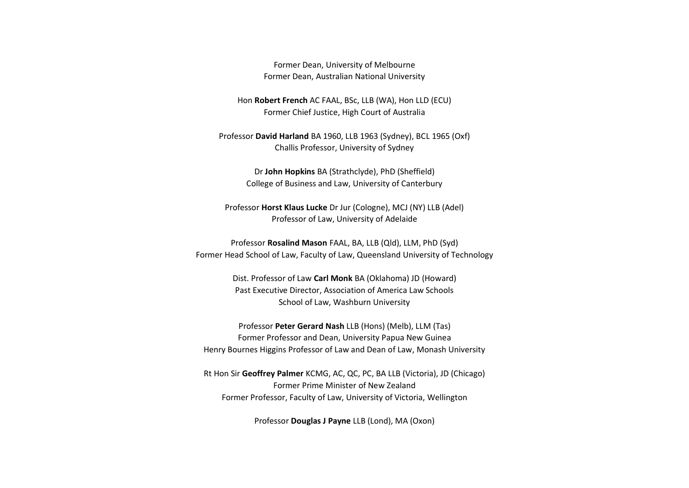Former Dean, University of Melbourne Former Dean, Australian National University

Hon **Robert French** AC FAAL, BSc, LLB (WA), Hon LLD (ECU) Former Chief Justice, High Court of Australia

Professor **David Harland** BA 1960, LLB 1963 (Sydney), BCL 1965 (Oxf) Challis Professor, University of Sydney

> Dr **John Hopkins** BA (Strathclyde), PhD (Sheffield) College of Business and Law, University of Canterbury

Professor **Horst Klaus Lucke** Dr Jur (Cologne), MCJ (NY) LLB (Adel) Professor of Law, University of Adelaide

Professor **Rosalind Mason** FAAL, BA, LLB (Qld), LLM, PhD (Syd) Former Head School of Law, Faculty of Law, Queensland University of Technology

> Dist. Professor of Law **Carl Monk** BA (Oklahoma) JD (Howard) Past Executive Director, Association of America Law Schools School of Law, Washburn University

Professor **Peter Gerard Nash** LLB (Hons) (Melb), LLM (Tas) Former Professor and Dean, University Papua New Guinea Henry Bournes Higgins Professor of Law and Dean of Law, Monash University

Rt Hon Sir **Geoffrey Palmer** KCMG, AC, QC, PC, BA LLB (Victoria), JD (Chicago) Former Prime Minister of New Zealand Former Professor, Faculty of Law, University of Victoria, Wellington

Professor **Douglas J Payne** LLB (Lond), MA (Oxon)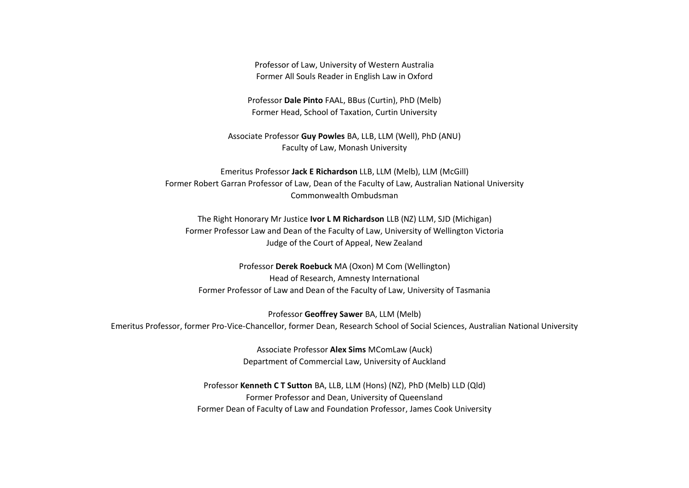Professor of Law, University of Western Australia Former All Souls Reader in English Law in Oxford

Professor **Dale Pinto** FAAL, BBus (Curtin), PhD (Melb) Former Head, School of Taxation, Curtin University

Associate Professor **Guy Powles** BA, LLB, LLM (Well), PhD (ANU) Faculty of Law, Monash University

Emeritus Professor **Jack E Richardson** LLB, LLM (Melb), LLM (McGill) Former Robert Garran Professor of Law, Dean of the Faculty of Law, Australian National University Commonwealth Ombudsman

The Right Honorary Mr Justice **Ivor L M Richardson** LLB (NZ) LLM, SJD (Michigan) Former Professor Law and Dean of the Faculty of Law, University of Wellington Victoria Judge of the Court of Appeal, New Zealand

Professor **Derek Roebuck** MA (Oxon) M Com (Wellington) Head of Research, Amnesty International Former Professor of Law and Dean of the Faculty of Law, University of Tasmania

Professor **Geoffrey Sawer** BA, LLM (Melb) Emeritus Professor, former Pro-Vice-Chancellor, former Dean, Research School of Social Sciences, Australian National University

> Associate Professor **Alex Sims** MComLaw (Auck) Department of Commercial Law, University of Auckland

Professor **Kenneth C T Sutton** BA, LLB, LLM (Hons) (NZ), PhD (Melb) LLD (Qld) Former Professor and Dean, University of Queensland Former Dean of Faculty of Law and Foundation Professor, James Cook University